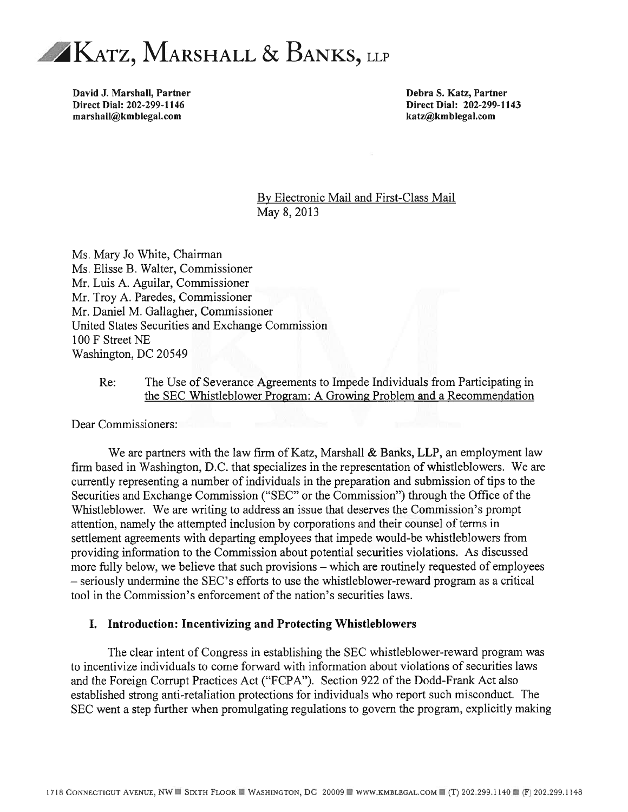

David J. Marshall, Partner and Debra S. Katz, Partner and Debra S. Katz, Partner and Debra S. Katz, Partner Direct Dial: 202-299-1146 Direct Dial: 202-299-1143 marshall@kmblegal.com **biographic marshall@kmblegal.com** katz@kmblegal.com

By Electronic Mail and First-Class Mail May 8,2013

Ms. Mary J0 White, Chairman Ms. Elisse B. Walter, Commissioner Mr. Luis A. Aguilar, Commissioner Mr. Troy A. Paredes, Commissioner Mr. Daniel M. Gallagher, Commissioner United States Securities and Exchange Commission 100 F Street NE Washington, DC 20549

#### Re: The Use of Severance Agreements to Impede Individuals from Participating in the SEC Whistleblower Program: A Growing Problem and a Recommendation

Dear Commissioners:

We are partners with the law firm of Katz, Marshall & Banks, LLP, an employment law firm based in Washington, D.C. that specializes in the representation of whistleblowers. We are currently representing a number of individuals in the preparation and submission of tips to the Securities and Exchange Commission ("SEC" or the Commission") through the Office of the Whistleblower. We are writing to address an issue that deserves the Commission's prompt attention, namely the attempted inclusion by corporations and their counsel ofterms in settlement agreements with departing employees that impede would-be whistleblowers from providing information to the Commission about potential securities violations. As discussed more fully below, we believe that such provisions — which are routinely requested of employees — seriously undermine the SEC's efforts to use the whistleblower-reward program as a critical tool in the Commission's enforcement of the nation's securities laws.

#### I. Introduction: Incentivizing and Protecting Whistleblowers

The clear intent of Congress in establishing the SEC whistleblower-reward program was to incentivize individuals to come forward with information about violations of securities laws and the Foreign Corrupt Practices Act ("FCPA"). Section 922 of the Dodd-Frank Act also established strong anti-retaliation protections for individuals who report such misconduct. The SEC went a step further when promulgating regulations to govern the program, explicitly making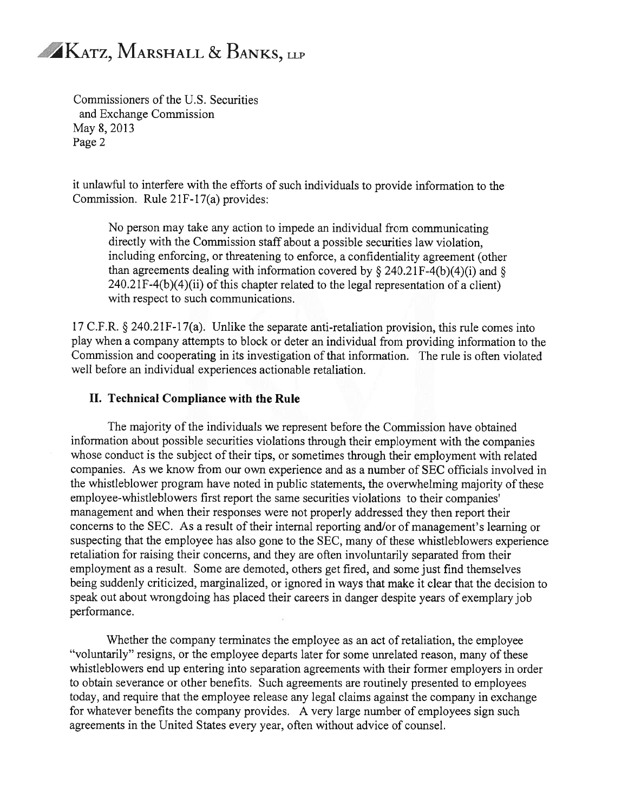Commissioners of the U.S. Securities and Exchange Commission May 8, 2013 Page 2

it unlawftil to interfere with the efforts of such individuals to provide information to the Commission. Rule 21F-17(a) provides:

No person may take any action to impede an individual from communicating directly with the Commission staff about a possible securities law violation, including enforcing, or threatening to enforce, a confidentiality agreement (other than agreements dealing with information covered by  $\S 240.21F-4(b)(4)(i)$  and  $\S$ 240.2 1F-4(b)(4)(ii) of this chapter related to the legal representation of a client) with respect to such communications.

17 C.F.R. § 240.21F-l7(a). Unlike the separate anti-retaliation provision, this rule comes into play when a company attempts to block or deter an individual from providing information to the Commission and cooperating in its investigation of that information. The rule is often violated well before an individual experiences actionable retaliation.

#### II. Technical Compliance with the Rule

The majority of the individuals we represent before the Commission have obtained information about possible securities violations through their employment with the companies whose conduct is the subject of their tips, or sometimes through their employment with related companies. As we know from our own experience and as a number of SEC officials involved in the whistleblower program have noted in public statements, the overwhelming majority of these employee-whistleblowers first report the same securities violations to their companies management and when their responses were not properly addressed they then report their concerns to the SEC. As a result of their internal reporting and/or of management's learning or suspecting that the employee has also gone to the SEC, many of these whistleblowers experience retaliation for raising their concerns, and they are often involuntarily separated from their employment as a result. Some are demoted, others get fired, and some just find themselves being suddenly criticized, marginalized, or ignored in ways that make it clear that the decision to speak out about wrongdoing has placed their careers in danger despite years of exemplary job performance.

Whether the company terminates the employee as an act of retaliation, the employee "voluntarily" resigns, or the employee departs later for some unrelated reason, many of these whistleblowers end up entering into separation agreements with their former employers in order to obtain severance or other benefits. Such agreements are routinely presented to employees today, and require that the employee release any legal claims against the company in exchange for whatever benefits the company provides. A very large number of employees sign such agreements in the United States every year, often without advice of counsel.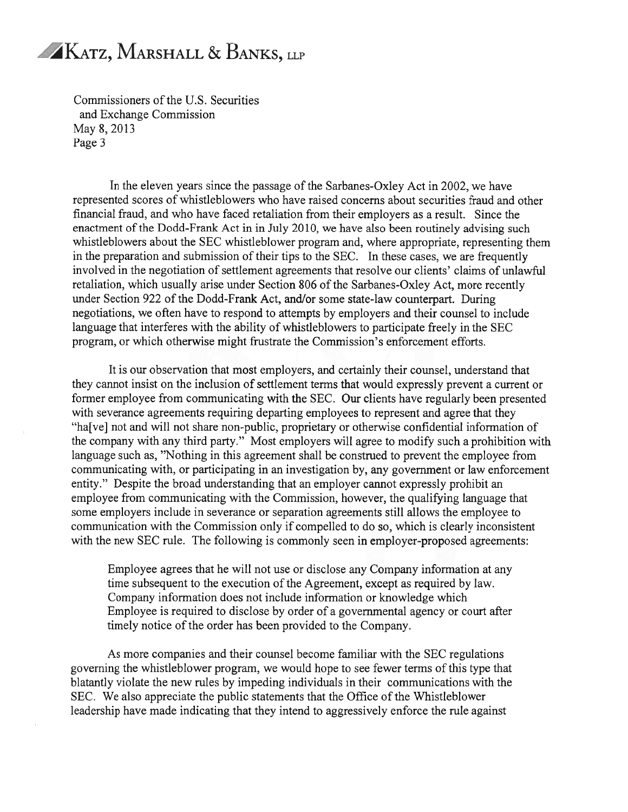Commissioners of the U.S. Securities and Exchange Commission May 8, 2013 Page 3

In the eleven years since the passage of the Sarbanes-Oxley Act in 2002, we have represented scores of whistleblowers who have raised concerns about securities fraud and other financial fraud, and who have faced retaliation from their employers as a result. Since the enactment of the Dodd-Frank Act in in July 2010, we have also been routinely advising such whistleblowers about the SEC whistleblower program and, where appropriate, representing them in the preparation and submission of their tips to the SEC. In these cases, we are frequently involved in the negotiation of settlement agreements that resolve our clients' claims of unlawful retaliation, which usually arise under Section 806 of the Sarbanes-Oxley Act, more recently under Section 922 of the Dodd-Frank Act, and/or some state-law counterpart. During negotiations, we often have to respond to attempts by employers and their counsel to include language that interferes with the ability of whistleblowers to participate freely in the SEC program, or which otherwise might frustrate the Commission's enforcement efforts.

It is our observation that most employers, and certainly their counsel, understand that they cannot insist on the inclusion of settlement terms that would expressly prevent a current or former employee from communicating with the SEC. Our clients have regularly been presented with severance agreements requiring departing employees to represent and agree that they "ha{vej not and will not share non-public, proprietary or otherwise confidential information of the company with any third party." Most employers will agree to modify such a prohibition with language such as, "Nothing in this agreement shall be construed to prevent the employee from communicating with, or participating in an investigation by, any government or law enforcement entity." Despite the broad understanding that an employer cannot expressly prohibit an employee from communicating with the Commission, however, the qualifying language that some employers include in severance or separation agreements still allows the employee to communication with the Commission only if compelled to do so, which is clearly inconsistent with the new SEC rule. The following is commonly seen in employer-proposed agreements:

Employee agrees that he will not use or disclose any Company information at any time subsequent to the execution of the Agreement, except as required by law. Company information does not include information or knowledge which Employee is required to disclose by order of a governmental agency or court after timely notice of the order has been provided to the Company.

As more companies and their counsel become familiar with the SEC regulations governing the whistleblower program, we would hope to see fewer terms of this type that blatantly violate the new rules by impeding individuals in their communications with the SEC. We also appreciate the public statements that the Office of the Whistleblower leadership have made indicating that they intend to aggressively enforce the rule against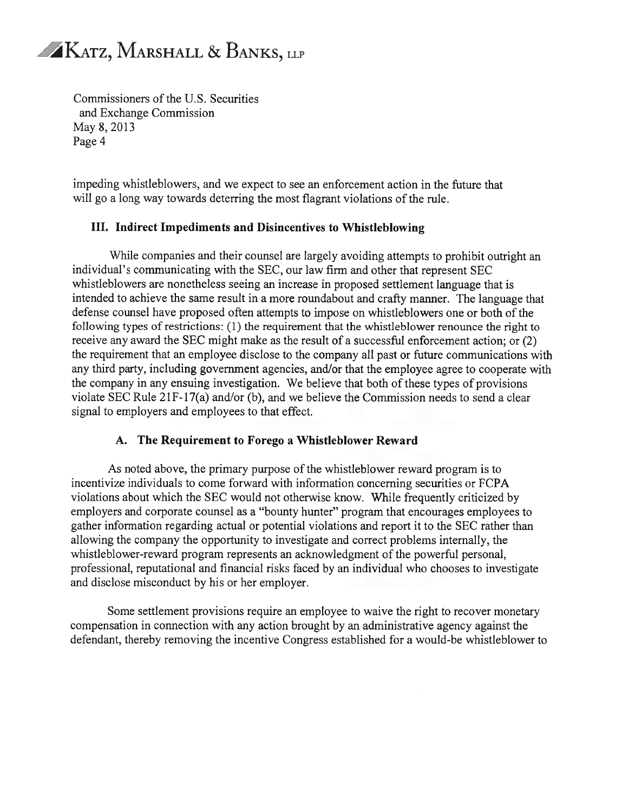Commissioners of the U.S. Securities and Exchange Commission May 8,2013 Page 4

impeding whistleblowers, and we expect to see an enforcement action in the future that will go a long way towards deterring the most flagrant violations of the rule.

#### III. Indirect Impediments and Disincentives to Whistleblowing

While companies and their counsel are largely avoiding attempts to prohibit outright an individual's communicating with the SEC, our law firm and other that represent SEC whistleblowers are nonetheless seeing an increase in proposed settlement language that is intended to achieve the same result in a more roundabout and crafty manner. The language that defense counsel have proposed often attempts to impose on whistleblowers one or both of the following types of restrictions: (1) the requirement that the whistleblower renounce the right to receive any award the SEC might make as the result of a successful enforcement action; or (2) the requirement that an employee disclose to the company all past or future communications with any third party, including government agencies, and/or that the employee agree to cooperate with the company in any ensuing investigation. We believe that both of these types of provisions violate SEC Rule 21F-17(a) and/or (b), and we believe the Commission needs to send a clear signal to employers and employees to that effect.

#### A. The Requirement to Forego a Whistleblower Reward

As noted above, the primary purpose of the whistleblower reward program is to incentivize individuals to come forward with information concerning securities or FCPA violations about which the SEC would not otherwise know. While frequently criticized by employers and corporate counsel as a "bounty hunter" program that encourages employees to gather information regarding actual or potential violations and report it to the SEC rather than allowing the company the opportunity to investigate and correct problems internally, the whistleblower-reward program represents an acknowledgment of the powerful personal, professional, reputational and financial risks faced by an individual who chooses to investigate and disclose misconduct by his or her employer.

Some settlement provisions require an employee to waive the right to recover monetary compensation in connection with any action brought by an administrative agency against the defendant, thereby removing the incentive Congress established for a would-be whistleblower to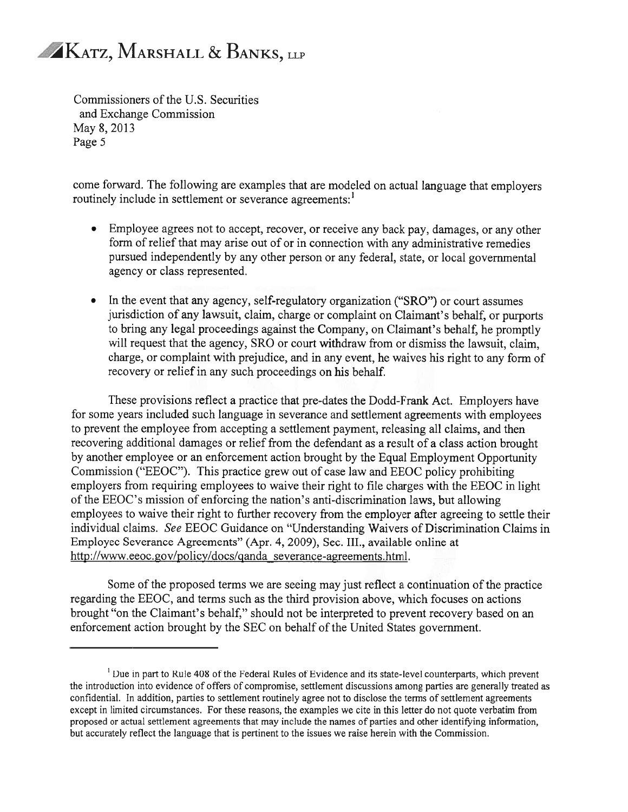Commissioners of the U.S. Securities and Exchange Commission May 8, 2013 Page <sup>5</sup>

come forward. The following are examples that are modeled on actual language that employers routinely include in settlement or severance agreements:<sup>1</sup>

- Employee agrees not to accept, recover, or receive any back pay, damages, or any other form of relief that may arise out of or in connection with any administrative remedies pursued independently by any other person or any federal, state, or local governmental agency or class represented.
- In the event that any agency, self-regulatory organization ("SRO") or court assumes jurisdiction of any lawsuit, claim, charge or complaint on Claimant's behalf, or purports to bring any legal proceedings against the Company, on Claimant's behalf, he promptly will request that the agency, SRO or court withdraw from or dismiss the lawsuit, claim, charge, or complaint with prejudice, and in any event, he waives his right to any form of recovery or relief in any such proceedings on his behalf.

These provisions reflect a practice that pre-dates the Dodd-Frank Act. Employers have for some years included such language in severance and settlement agreements with employees to prevent the employee from accepting a settlement payment, releasing all claims, and then recovering additional damages or relief from the defendant as a result of a class action brought by another employee or an enforcement action brought by the Equal Employment Opportunity Commission ("EEOC"). This practice grew out of case law and EEOC policy prohibiting employers from requiring employees to waive their right to file charges with the EEOC in light of the EEOC's mission of enforcing the nation's anti-discrimination laws, but allowing employees to waive their right to further recovery from the employer after agreeing to settle their individual claims. See EEOC Guidance on "Understanding Waivers of Discrimination Claims in Employee Severance Agreements" (Apr. 4, 2009), Sec. III., available online at http ://www.eeoc. gov/policy/docs/qanda severance-agreements.html.

Some of the proposed terms we are seeing may just reflect a continuation of the practice regarding the EEOC, and terms such as the third provision above, which focuses on actions brought "on the Claimant's behalf," should not be interpreted to prevent recovery based on an enforcement action brought by the SEC on behalf of the United States government.

<sup>&</sup>lt;sup>1</sup> Due in part to Rule 408 of the Federal Rules of Evidence and its state-level counterparts, which prevent the introduction into evidence of offers of compromise, settlement discussions among parties are generally treated as confidential. In addition, parties to settlement routinely agree not to disclose the terms of settlement agreements except in limited circumstances. For these reasons, the examples we cite in this letter do not quote verbatim from proposed or actual settlement agreements that may include the names of parties and other identifying information, but accurately reflect the language that is pertinent to the issues we raise herein with the Commission.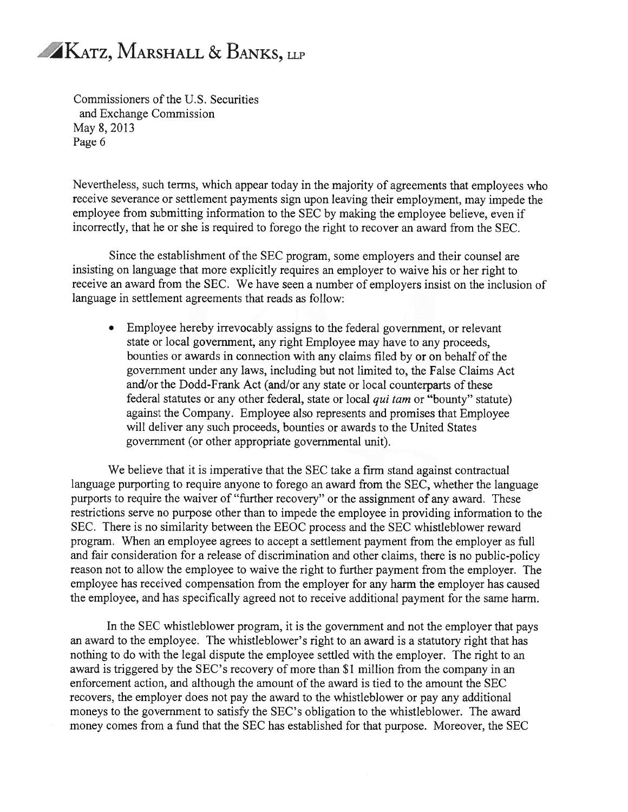Commissioners of the U.S. Securities and Exchange Commission May 8, 2013 Page 6

Nevertheless, such terms, which appear today in the majority of agreements that employees who receive severance or settlement payments sign upon leaving their employment, may impede the employee from submitting information to the SEC by making the employee believe, even if incorrectly, that he or she is required to forego the right to recover an award from the SEC.

Since the establishment of the SEC program, some employers and their counsel are insisting on language that more explicitly requires an employer to waive his or her right to receive an award from the SEC. We have seen a number of employers insist on the inclusion of language in settlement agreements that reads as follow:

Employee hereby irrevocably assigns to the federal government, or relevant state or local government, any right Employee may have to any proceeds, bounties or awards in connection with any claims filed by or on behalf of the government under any laws, including but not limited to, the False Claims Act and/or the Dodd-Frank Act (and/or any state or local counterparts of these federal statutes or any other federal, state or local qui tam or "bounty" statute) against the Company. Employee also represents and promises that Employee will deliver any such proceeds, bounties or awards to the United States government (or other appropriate governmental unit).

We believe that it is imperative that the SEC take a firm stand against contractual language purporting to require anyone to forego an award from the SEC, whether the language purports to require the waiver of "further recovery" or the assignment of any award. These restrictions serve no purpose other than to impede the employee in providing information to the SEC. There is no similarity between the EEOC process and the SEC whistleblower reward program. When an employee agrees to accept a settlement payment from the employer as full and fair consideration for a release of discrimination and other claims, there is no public-policy reason not to allow the employee to waive the right to further payment from the employer. The employee has received compensation from the employer for any harm the employer has caused the employee, and has specifically agreed not to receive additional payment for the same harm.

In the SEC whistleblower program, it is the government and not the employer that pays an award to the employee. The whistleblower's right to an award is a statutory right that has nothing to do with the legal dispute the employee settled with the employer. The right to an award is triggered by the SEC's recovery of more than \$1 million from the company in an enforcement action, and although the amount of the award is tied to the amount the SEC recovers, the employer does not pay the award to the whistleblower or pay any additional moneys to the government to satisfy the SEC's obligation to the whistleblower. The award money comes from a fund that the SEC has established for that purpose. Moreover, the SEC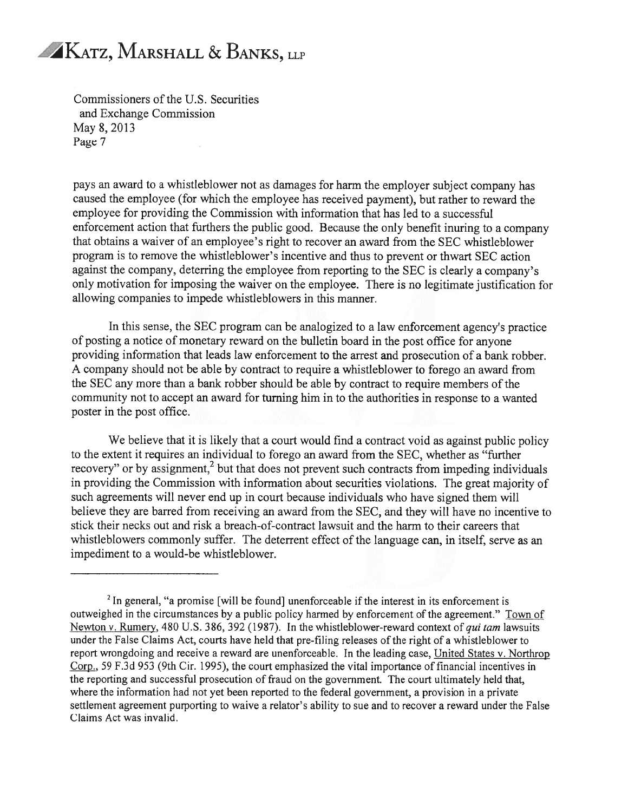Commissioners of the U.S. Securities and Exchange Commission May 8, 2013 Page 7

pays an award to a whistleblower not as damages for harm the employer subject company has caused the employee (for which the employee has received payment), but rather to reward the employee for providing the Commission with information that has led to a successful enforcement action that furthers the public good. Because the only benefit inuring to a company that obtains a waiver of an employee's right to recover an award from the SEC whistleblower program is to remove the whistleblower's incentive and thus to prevent or thwart SEC action against the company, deterring the employee from reporting to the SEC is clearly a company's only motivation for imposing the waiver on the employee. There is no legitimate justification for allowing companies to impede whistleblowers in this manner.

In this sense, the SEC program can be analogized to a law enforcement agency's practice of posting a notice of monetary reward on the bulletin board in the post office for anyone providing information that leads law enforcement to the arrest and prosecution of a bank robber. A company should not be able by contract to require a whistleblower to forego an award from the SEC any more than a bank robber should be able by contract to require members of the community not to accept an award for turning him in to the authorities in response to a wanted poster in the post office.

We believe that it is likely that a court would find a contract void as against public policy to the extent it requires an individual to forego an award from the SEC, whether as "further recovery" or by assignment,<sup>2</sup> but that does not prevent such contracts from impeding individuals in providing the Commission with information about securities violations. The great majority of such agreements will never end up in court because individuals who have signed them will believe they are barred from receiving an award from the SEC, and they will have no incentive to stick their necks out and risk a breach-of-contract lawsuit and the harm to their careers that whistleblowers commonly suffer. The deterrent effect of the language can, in itself, serve as an impediment to a would-be whistleblower.

 $2$  In general, "a promise [will be found] unenforceable if the interest in its enforcement is outweighed in the circumstances by a public policy harmed by enforcement of the agreement." Town of Newton v. Rumery, 480 U.S. 386, 392 (1987). In the whistleblower-reward context of qui tam lawsuits under the False Claims Act, courts have held that pre-filing releases of the right of a whistleblower to report wrongdoing and receive a reward are unenforceable. In the leading case, United States v. Northrop Corp., 59 F.3d 953 (9th Cir. 1995), the court emphasized the vital importance of financial incentives in the reporting and successful prosecution of fraud on the government. The court ultimately held that, where the information had not yet been reported to the federal government, a provision in a private settlement agreement purporting to waive a relator's ability to sue and to recover a reward under the False Claims Act was invalid.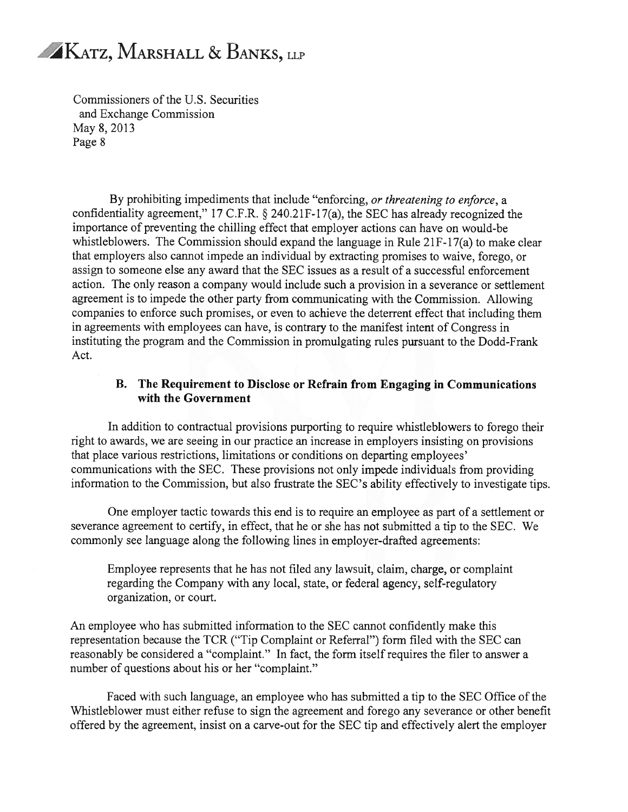

Commissioners of the U.S. Securities and Exchange Commission May 8,2013 Page 8

By prohibiting impediments that include "enforcing, or threatening to enforce, a confidentiality agreement," 17 C.F.R. § 240.2 1F-17(a), the SEC has already recognized the importance of preventing the chilling effect that employer actions can have on would-be whistleblowers. The Commission should expand the language in Rule 21F-17(a) to make clear that employers also cannot impede an individual by extracting promises to waive, forego, or assign to someone else any award that the SEC issues as a result of a successful enforcement action. The only reason a company would include such a provision in a severance or settlement agreement is to impede the other party from communicating with the Commission. Allowing companies to enforce such promises, or even to achieve the deterrent effect that including them in agreements with employees can have, is contrary to the manifest intent of Congress in instituting the program and the Commission in promulgating rules pursuant to the Dodd-Frank Act.

#### B. The Requirement to Disdose or Refrain from Engaging in Communications with the Government

In addition to contractual provisions purporting to require whistleblowers to forego their right to awards, we are seeing in our practice an increase in employers insisting on provisions that place various restrictions, limitations or conditions on departing employees' communications with the SEC. These provisions not only impede individuals from providing information to the Commission, but also frustrate the SEC's ability effectively to investigate tips.

One employer tactic towards this end is to require an employee as part of a settlement or severance agreement to certify, in effect, that he or she has not submitted a tip to the SEC. We commonly see language along the following lines in employer-drafted agreements:

Employee represents that he has not filed any lawsuit, claim, charge, or complaint regarding the Company with any local, state, or federal agency, self-regulatory organization, or court.

An employee who has submitted information to the SEC cannot confidently make this representation because the TCR ("Tip Complaint or Referral") form filed with the SEC can reasonably be considered a "complaint." In fact, the form itself requires the filer to answer a number of questions about his or her "complaint."

Faced with such language, an employee who has submitted a tip to the SEC Office of the Whistleblower must either refuse to sign the agreement and forego any severance or other benefit offered by the agreement, insist on a carve-out for the SEC tip and effectively alert the employer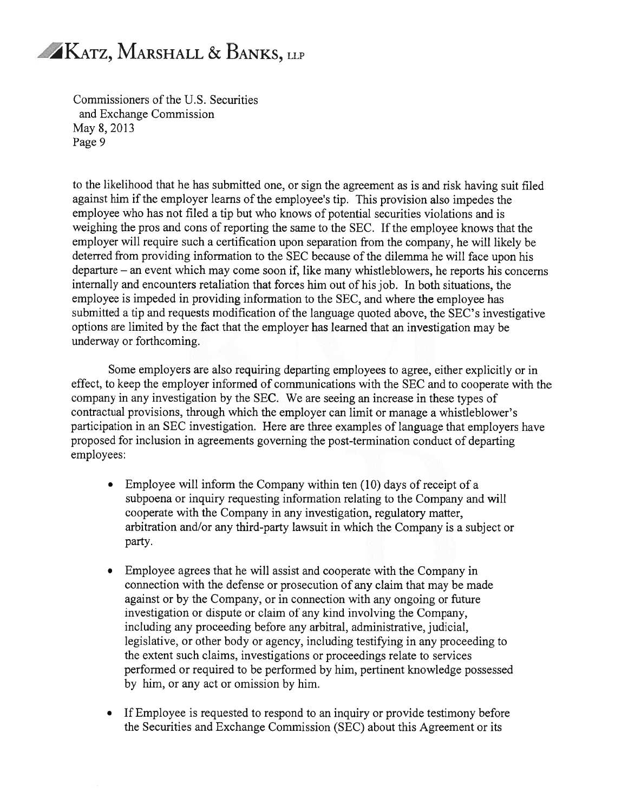

Commissioners of the U.S. Securities and Exchange Commission May 8,2013 Page 9

to the likelihood that he has submitted one, or sign the agreement as is and risk having suit filed against him if the employer learns of the employee's tip. This provision also impedes the employee who has not filed a tip but who knows of potential securities violations and is weighing the pros and cons of reporting the same to the SEC. If the employee knows that the employer will require such a certification upon separation from the company, he will likely be deterred from providing information to the SEC because of the dilemma he will face upon his departure — an event which may come soon if, like many whistleblowers, he reports his concerns internally and encounters retaliation that forces him out of his job. In both situations, the employee is impeded in providing information to the SEC, and where the employee has submitted a tip and requests modification of the language quoted above, the SEC's investigative options are limited by the fact that the employer has learned that an investigation may be underway or forthcoming.

Some employers are also requiring departing employees to agree, either explicitly or in effect, to keep the employer informed of communications with the SEC and to cooperate with the company in any investigation by the SEC. We are seeing an increase in these types of contractual provisions, through which the employer can limit or manage a whistleblower's participation in an SEC investigation. Here are three examples of language that employers have proposed for inclusion in agreements governing the post-termination conduct of departing employees:

- Employee will inform the Company within ten (10) days of receipt of a subpoena or inquiry requesting information relating to the Company and will cooperate with the Company in any investigation, regulatory matter, arbitration and/or any third-party lawsuit in which the Company is a subject or party.
- Employee agrees that he will assist and cooperate with the Company in connection with the defense or prosecution of any claim that may be made against or by the Company, or in connection with any ongoing or future investigation or dispute or claim of any kind involving the Company, including any proceeding before any arbitral, administrative, judicial, legislative, or other body or agency, including testifying in any proceeding to the extent such claims, investigations or proceedings relate to services performed or required to be performed by him, pertinent knowledge possessed by him, or any act or omission by him.
- If Employee is requested to respond to an inquiry or provide testimony before the Securities and Exchange Commission (SEC) about this Agreement or its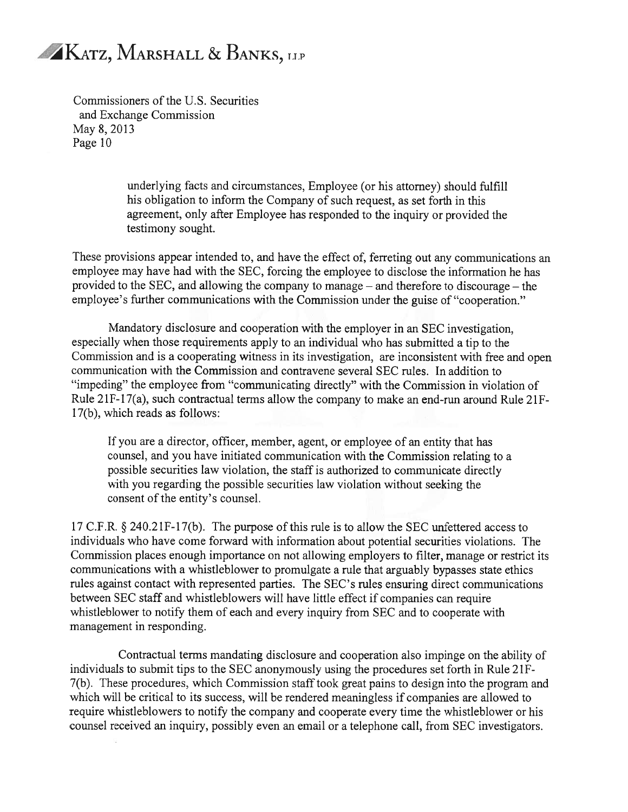Commissioners of the U.S. Securities and Exchange Commission May 8,2013 Page 10

> underlying facts and circumstances, Employee (or his attorney) should fulfill his obligation to inform the Company of such request, as set forth in this agreement, only after Employee has responded to the inquiry or provided the testimony sought.

These provisions appear intended to, and have the effect of, ferreting out any communications an employee may have had with the SEC, forcing the employee to disclose the information he has provided to the SEC, and allowing the company to manage — and therefore to discourage — the employee's further communications with the Commission under the guise of "cooperation."

Mandatory disclosure and cooperation with the employer in an SEC investigation, especially when those requirements apply to an individual who has submitted a tip to the Commission and is a cooperating witness in its investigation, are inconsistent with free and open communication with the Commission and contravene several SEC rules. In addition to "impeding" the employee from "communicating directly" with the Commission in violation of Rule 21 F-17(a), such contractual terms allow the company to make an end-run around Rule 21 F-17(b), which reads as follows:

If you are a director, officer, member, agent, or employee of an entity that has counsel, and you have initiated communication with the Commission relating to a possible securities law violation, the staff is authorized to communicate directly with you regarding the possible securities law violation without seeking the consent of the entity's counsel.

<sup>17</sup> C.F.R. § 240.21F-17(b). The purpose ofthis rule is to allow the SEC unfettered access to individuals who have come forward with information about potential securities violations. The Commission places enough importance on not allowing employers to filter, manage or restrict its communications with a whistleblower to promulgate a rule that arguably bypasses state ethics rules against contact with represented parties. The SEC's rules ensuring direct communications between SEC staff and whistleblowers will have little effect if companies can require whistleblower to notify them of each and every inquiry from SEC and to cooperate with management in responding.

Contractual terms mandating disclosure and cooperation also impinge on the ability of individuals to submit tips to the SEC anonymously using the procedures set forth in Rule 21F-7(b). These procedures, which Commission staff took great pains to design into the program and which will be critical to its success, will be rendered meaningless if companies are allowed to require whistleblowers to notify the company and cooperate every time the whistleblower or his counsel received an inquiry, possibly even an email or a telephone call, from SEC investigators.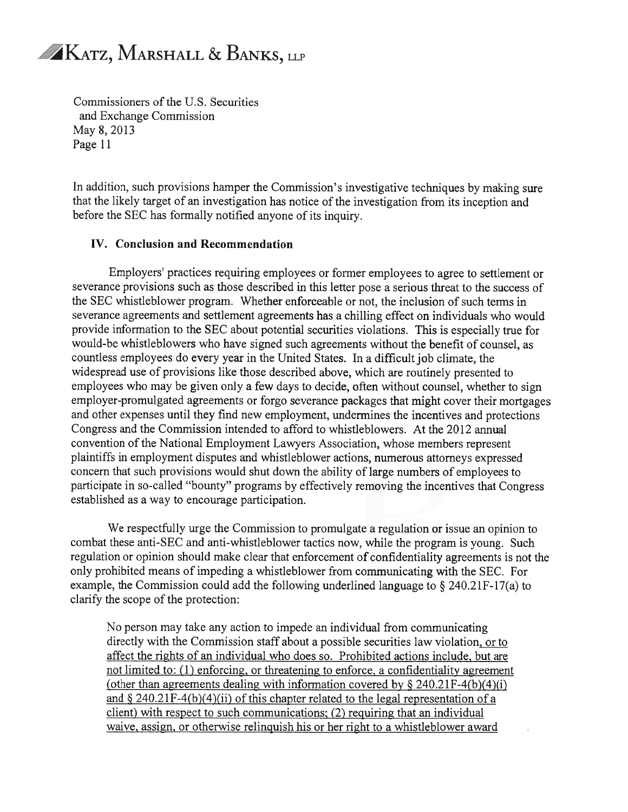Commissioners of the U.S. Securities and Exchange Commission May 8, 2013 Page 11

In addition, such provisions hamper the Commission's investigative techniques by making sure that the likely target of an investigation has notice of the investigation from its inception and before the SEC has formally notified anyone of its inquiry.

#### IV. Conclusion and Recommendation

Employers' practices requiring employees or former employees to agree to settlement or severance provisions such as those described in this letter pose a serious threat to the success of the SEC whistleblower program. Whether enforceable or not, the inclusion of such terms in severance agreements and settlement agreements has a chilling effect on individuals who would provide information to the SEC about potential securities violations. This is especially true for would-be whistleblowers who have signed such agreements without the benefit of counsel, as countless employees do every year in the United States. In a difficult job climate, the widespread use of provisions like those described above, which are routinely presented to employees who may be given only a few days to decide, often without counsel, whether to sign employer-promulgated agreements or forgo severance packages that might cover their mortgages and other expenses until they find new employment, undermines the incentives and protections Congress and the Commission intended to afford to whistleblowers. At the 2012 annual convention of the National Employment Lawyers Association, whose members represent plaintiffs in employment disputes and whistleblower actions, numerous attorneys expressed concern that such provisions would shut down the ability of large numbers of employees to participate in so-called "bounty" programs by effectively removing the incentives that Congress established as a way to encourage participation.

We respectfully urge the Commission to promulgate a regulation or issue an opinion to combat these anti-SEC and anti-whistleblower tactics now, while the program is young. Such regulation or opinion should make clear that enforcement of confidentiality agreements is not the only prohibited means of impeding a whistleblower from communicating with the SEC. For example, the Commission could add the following underlined language to  $\S 240.21F-17(a)$  to clarify the scope of the protection:

No person may take any action to impede an individual from communicating directly with the Commission staff about a possible securities law violation, or to affect the rights of an individual who does so. Prohibited actions include, but are not limited to: (1) enforcing, or threatening to enforce, a confidentiality agreement (other than agreements dealing with information covered by  $\S 240.21F-4(b)(4)(i)$ ) and  $\S 240.21F-4(b)(4)(ii)$  of this chapter related to the legal representation of a client) with respect to such communications; (2) requiring that an individual waive, assign, or otherwise relinquish his or her right to a whistleblower award